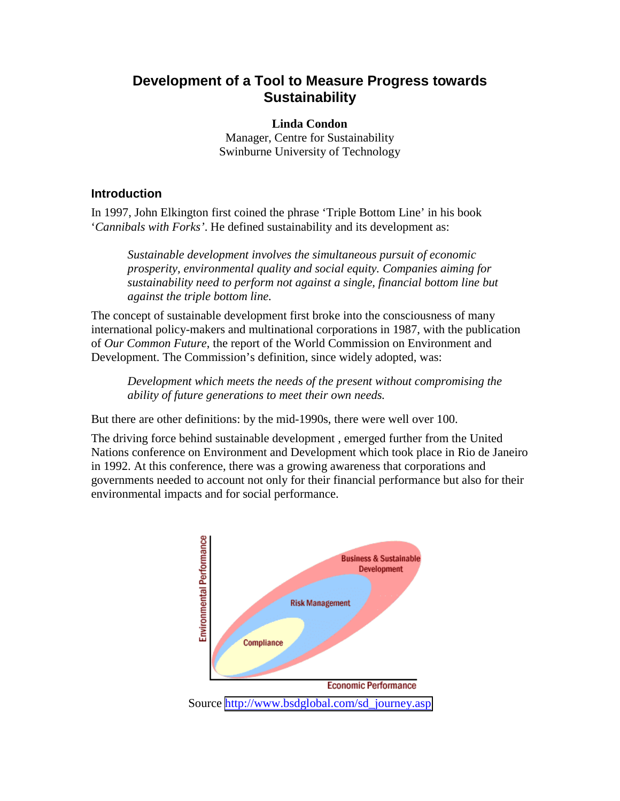# **Development of a Tool to Measure Progress towards Sustainability**

**Linda Condon**  Manager, Centre for Sustainability Swinburne University of Technology

### **Introduction**

In 1997, John Elkington first coined the phrase 'Triple Bottom Line' in his book '*Cannibals with Forks'*. He defined sustainability and its development as:

*Sustainable development involves the simultaneous pursuit of economic prosperity, environmental quality and social equity. Companies aiming for sustainability need to perform not against a single, financial bottom line but against the triple bottom line.* 

The concept of sustainable development first broke into the consciousness of many international policy-makers and multinational corporations in 1987, with the publication of *Our Common Future*, the report of the World Commission on Environment and Development. The Commission's definition, since widely adopted, was:

*Development which meets the needs of the present without compromising the ability of future generations to meet their own needs.* 

But there are other definitions: by the mid-1990s, there were well over 100.

The driving force behind sustainable development , emerged further from the United Nations conference on Environment and Development which took place in Rio de Janeiro in 1992. At this conference, there was a growing awareness that corporations and governments needed to account not only for their financial performance but also for their environmental impacts and for social performance.

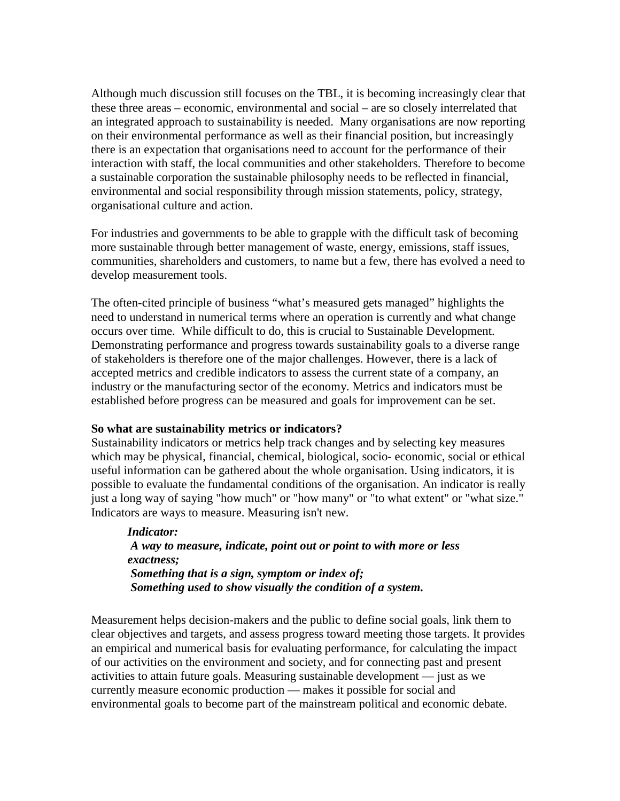Although much discussion still focuses on the TBL, it is becoming increasingly clear that these three areas – economic, environmental and social – are so closely interrelated that an integrated approach to sustainability is needed. Many organisations are now reporting on their environmental performance as well as their financial position, but increasingly there is an expectation that organisations need to account for the performance of their interaction with staff, the local communities and other stakeholders. Therefore to become a sustainable corporation the sustainable philosophy needs to be reflected in financial, environmental and social responsibility through mission statements, policy, strategy, organisational culture and action.

For industries and governments to be able to grapple with the difficult task of becoming more sustainable through better management of waste, energy, emissions, staff issues, communities, shareholders and customers, to name but a few, there has evolved a need to develop measurement tools.

The often-cited principle of business "what's measured gets managed" highlights the need to understand in numerical terms where an operation is currently and what change occurs over time. While difficult to do, this is crucial to Sustainable Development. Demonstrating performance and progress towards sustainability goals to a diverse range of stakeholders is therefore one of the major challenges. However, there is a lack of accepted metrics and credible indicators to assess the current state of a company, an industry or the manufacturing sector of the economy. Metrics and indicators must be established before progress can be measured and goals for improvement can be set.

#### **So what are sustainability metrics or indicators?**

Sustainability indicators or metrics help track changes and by selecting key measures which may be physical, financial, chemical, biological, socio- economic, social or ethical useful information can be gathered about the whole organisation. Using indicators, it is possible to evaluate the fundamental conditions of the organisation. An indicator is really just a long way of saying "how much" or "how many" or "to what extent" or "what size." Indicators are ways to measure. Measuring isn't new.

*Indicator: A way to measure, indicate, point out or point to with more or less exactness; Something that is a sign, symptom or index of; Something used to show visually the condition of a system.* 

Measurement helps decision-makers and the public to define social goals, link them to clear objectives and targets, and assess progress toward meeting those targets. It provides an empirical and numerical basis for evaluating performance, for calculating the impact of our activities on the environment and society, and for connecting past and present activities to attain future goals. Measuring sustainable development — just as we currently measure economic production — makes it possible for social and environmental goals to become part of the mainstream political and economic debate.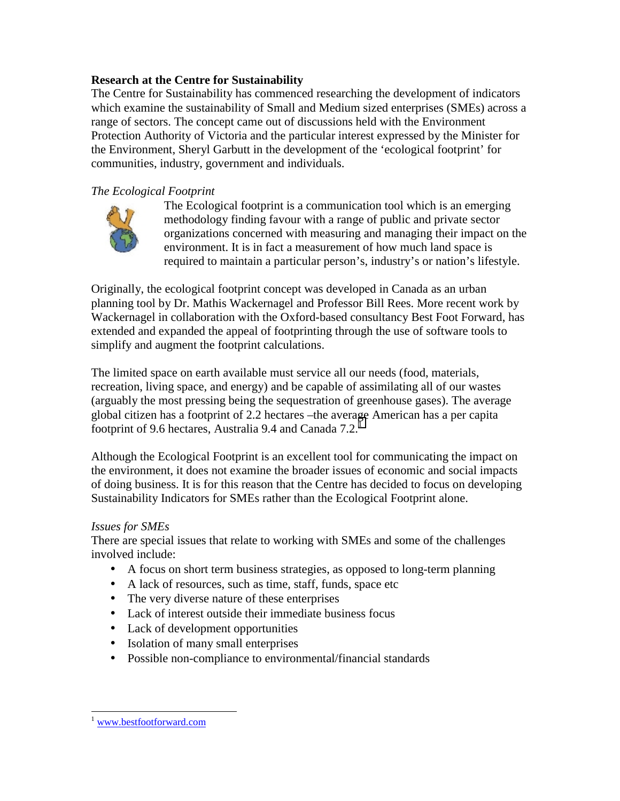# **Research at the Centre for Sustainability**

The Centre for Sustainability has commenced researching the development of indicators which examine the sustainability of Small and Medium sized enterprises (SMEs) across a range of sectors. The concept came out of discussions held with the Environment Protection Authority of Victoria and the particular interest expressed by the Minister for the Environment, Sheryl Garbutt in the development of the 'ecological footprint' for communities, industry, government and individuals.

## *The Ecological Footprint*



The Ecological footprint is a communication tool which is an emerging methodology finding favour with a range of public and private sector organizations concerned with measuring and managing their impact on the environment. It is in fact a measurement of how much land space is required to maintain a particular person's, industry's or nation's lifestyle.

Originally, the ecological footprint concept was developed in Canada as an urban planning tool by Dr. Mathis Wackernagel and Professor Bill Rees. More recent work by Wackernagel in collaboration with the Oxford-based consultancy Best Foot Forward, has extended and expanded the appeal of footprinting through the use of software tools to simplify and augment the footprint calculations.

The limited space on earth available must service all our needs (food, materials, recreation, living space, and energy) and be capable of assimilating all of our wastes (arguably the most pressing being the sequestration of greenhouse gases). The average global citizen has a footprint of 2.2 hectares –the average American has a per capita footprint of 9.6 hectares, Australia 9.4 and Canada 7.2.<sup>1</sup>

Although the Ecological Footprint is an excellent tool for communicating the impact on the environment, it does not examine the broader issues of economic and social impacts of doing business. It is for this reason that the Centre has decided to focus on developing Sustainability Indicators for SMEs rather than the Ecological Footprint alone.

#### *Issues for SMEs*

There are special issues that relate to working with SMEs and some of the challenges involved include:

- A focus on short term business strategies, as opposed to long-term planning
- A lack of resources, such as time, staff, funds, space etc
- The very diverse nature of these enterprises
- Lack of interest outside their immediate business focus
- Lack of development opportunities
- Isolation of many small enterprises
- Possible non-compliance to environmental/financial standards

 $\overline{a}$ 

www.bestfootforward.com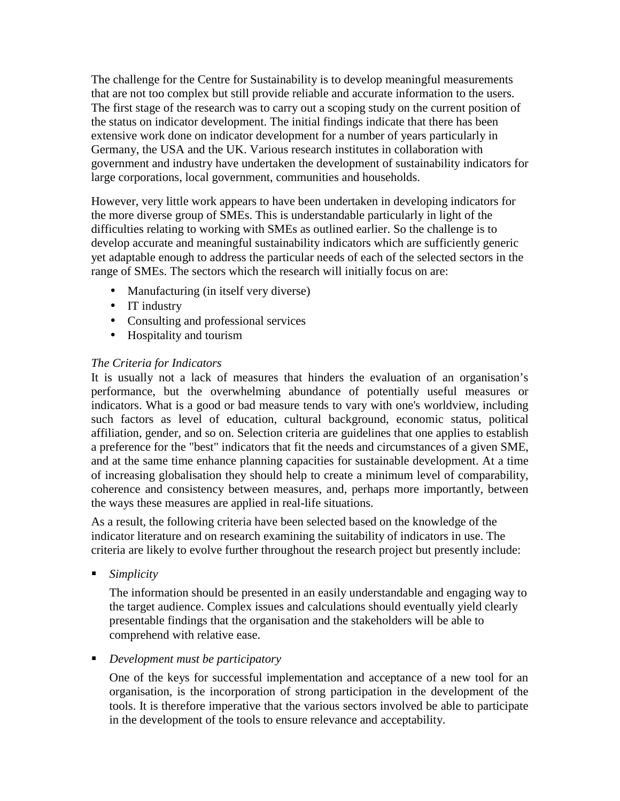The challenge for the Centre for Sustainability is to develop meaningful measurements that are not too complex but still provide reliable and accurate information to the users. The first stage of the research was to carry out a scoping study on the current position of the status on indicator development. The initial findings indicate that there has been extensive work done on indicator development for a number of years particularly in Germany, the USA and the UK. Various research institutes in collaboration with government and industry have undertaken the development of sustainability indicators for large corporations, local government, communities and households.

However, very little work appears to have been undertaken in developing indicators for the more diverse group of SMEs. This is understandable particularly in light of the difficulties relating to working with SMEs as outlined earlier. So the challenge is to develop accurate and meaningful sustainability indicators which are sufficiently generic yet adaptable enough to address the particular needs of each of the selected sectors in the range of SMEs. The sectors which the research will initially focus on are:

- Manufacturing (in itself very diverse)
- IT industry
- Consulting and professional services
- Hospitality and tourism

# *The Criteria for Indicators*

It is usually not a lack of measures that hinders the evaluation of an organisation's performance, but the overwhelming abundance of potentially useful measures or indicators. What is a good or bad measure tends to vary with one's worldview, including such factors as level of education, cultural background, economic status, political affiliation, gender, and so on. Selection criteria are guidelines that one applies to establish a preference for the "best" indicators that fit the needs and circumstances of a given SME, and at the same time enhance planning capacities for sustainable development. At a time of increasing globalisation they should help to create a minimum level of comparability, coherence and consistency between measures, and, perhaps more importantly, between the ways these measures are applied in real-life situations.

As a result, the following criteria have been selected based on the knowledge of the indicator literature and on research examining the suitability of indicators in use. The criteria are likely to evolve further throughout the research project but presently include:

*Simplicity* 

The information should be presented in an easily understandable and engaging way to the target audience. Complex issues and calculations should eventually yield clearly presentable findings that the organisation and the stakeholders will be able to comprehend with relative ease.

*Development must be participatory* 

One of the keys for successful implementation and acceptance of a new tool for an organisation, is the incorporation of strong participation in the development of the tools. It is therefore imperative that the various sectors involved be able to participate in the development of the tools to ensure relevance and acceptability.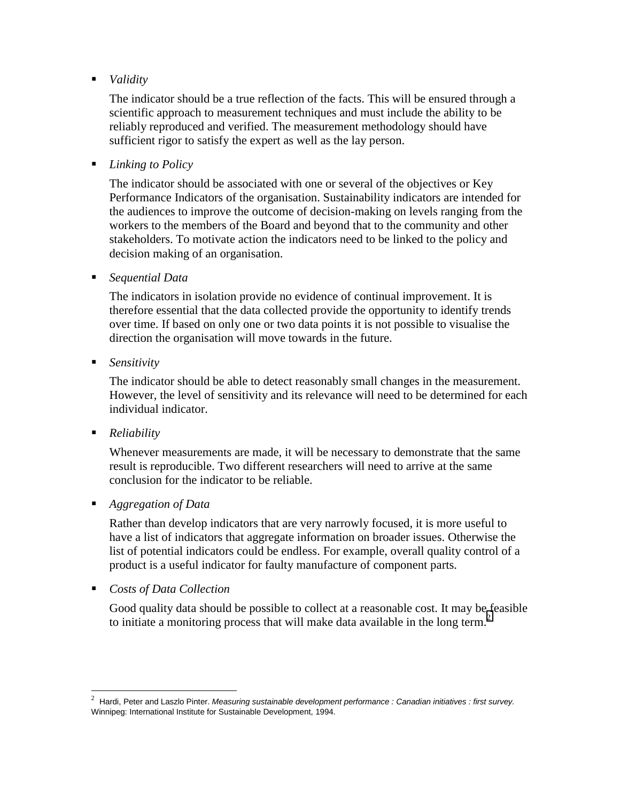*Validity* 

The indicator should be a true reflection of the facts. This will be ensured through a scientific approach to measurement techniques and must include the ability to be reliably reproduced and verified. The measurement methodology should have sufficient rigor to satisfy the expert as well as the lay person.

*Linking to Policy* 

The indicator should be associated with one or several of the objectives or Key Performance Indicators of the organisation. Sustainability indicators are intended for the audiences to improve the outcome of decision-making on levels ranging from the workers to the members of the Board and beyond that to the community and other stakeholders. To motivate action the indicators need to be linked to the policy and decision making of an organisation.

*Sequential Data* 

The indicators in isolation provide no evidence of continual improvement. It is therefore essential that the data collected provide the opportunity to identify trends over time. If based on only one or two data points it is not possible to visualise the direction the organisation will move towards in the future.

*Sensitivity* 

The indicator should be able to detect reasonably small changes in the measurement. However, the level of sensitivity and its relevance will need to be determined for each individual indicator.

*Reliability* 

Whenever measurements are made, it will be necessary to demonstrate that the same result is reproducible. Two different researchers will need to arrive at the same conclusion for the indicator to be reliable.

*Aggregation of Data* 

Rather than develop indicators that are very narrowly focused, it is more useful to have a list of indicators that aggregate information on broader issues. Otherwise the list of potential indicators could be endless. For example, overall quality control of a product is a useful indicator for faulty manufacture of component parts.

*Costs of Data Collection* 

Good quality data should be possible to collect at a reasonable cost. It may be feasible to initiate a monitoring process that will make data available in the long term.<sup>2</sup>

<sup>&</sup>lt;sup>2</sup> Hardi, Peter and Laszlo Pinter. *Measuring sustainable development performance : Canadian initiatives : first survey.* Winnipeg: International Institute for Sustainable Development, 1994.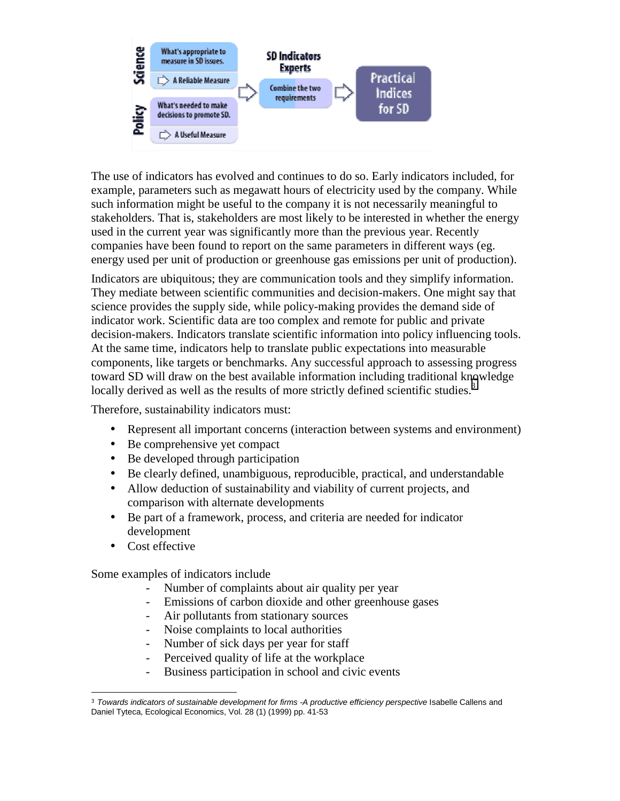

The use of indicators has evolved and continues to do so. Early indicators included, for example, parameters such as megawatt hours of electricity used by the company. While such information might be useful to the company it is not necessarily meaningful to stakeholders. That is, stakeholders are most likely to be interested in whether the energy used in the current year was significantly more than the previous year. Recently companies have been found to report on the same parameters in different ways (eg. energy used per unit of production or greenhouse gas emissions per unit of production).

Indicators are ubiquitous; they are communication tools and they simplify information. They mediate between scientific communities and decision-makers. One might say that science provides the supply side, while policy-making provides the demand side of indicator work. Scientific data are too complex and remote for public and private decision-makers. Indicators translate scientific information into policy influencing tools. At the same time, indicators help to translate public expectations into measurable components, like targets or benchmarks. Any successful approach to assessing progress toward SD will draw on the best available information including traditional knowledge locally derived as well as the results of more strictly defined scientific studies.<sup>3</sup>

Therefore, sustainability indicators must:

- Represent all important concerns (interaction between systems and environment)
- Be comprehensive yet compact
- Be developed through participation
- Be clearly defined, unambiguous, reproducible, practical, and understandable
- Allow deduction of sustainability and viability of current projects, and comparison with alternate developments
- Be part of a framework, process, and criteria are needed for indicator development
- Cost effective

Some examples of indicators include

- Number of complaints about air quality per year
- Emissions of carbon dioxide and other greenhouse gases
- Air pollutants from stationary sources
- Noise complaints to local authorities
- Number of sick days per year for staff
- Perceived quality of life at the workplace
- Business participation in school and civic events

l <sup>3</sup> *Towards indicators of sustainable development for firms -A productive efficiency perspective* Isabelle Callens and Daniel Tyteca, Ecological Economics, Vol. 28 (1) (1999) pp. 41-53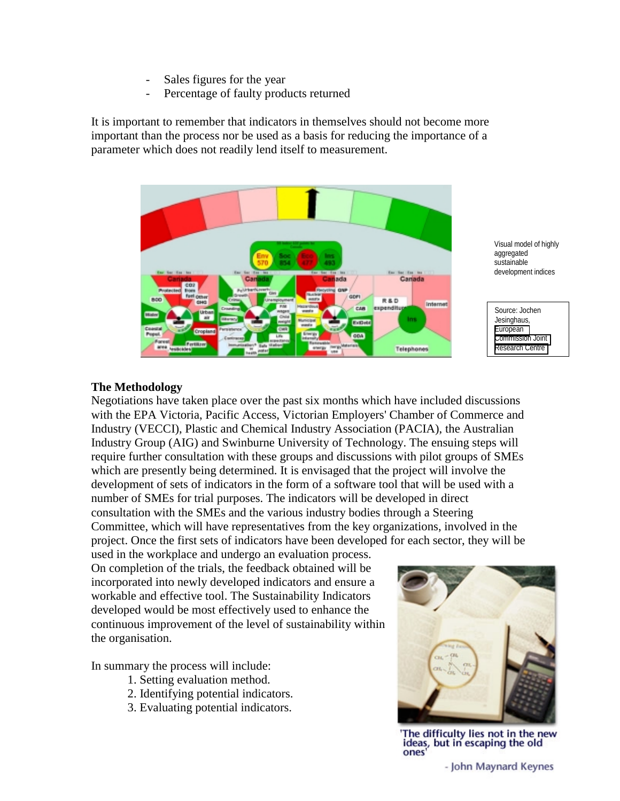- Sales figures for the year
- Percentage of faulty products returned

It is important to remember that indicators in themselves should not become more important than the process nor be used as a basis for reducing the importance of a parameter which does not readily lend itself to measurement.



Visual model of highly aggregated sustainable development indices

Source: Jochen Jesinghaus, [European](http://esl.jrc.it/envind/dashbrds.htm)  [Commission Joint](http://esl.jrc.it/envind/dashbrds.htm)  [Research Centre](http://esl.jrc.it/envind/dashbrds.htm) 

#### **The Methodology**

Negotiations have taken place over the past six months which have included discussions with the EPA Victoria, Pacific Access, Victorian Employers' Chamber of Commerce and Industry (VECCI), Plastic and Chemical Industry Association (PACIA), the Australian Industry Group (AIG) and Swinburne University of Technology. The ensuing steps will require further consultation with these groups and discussions with pilot groups of SMEs which are presently being determined. It is envisaged that the project will involve the development of sets of indicators in the form of a software tool that will be used with a number of SMEs for trial purposes. The indicators will be developed in direct consultation with the SMEs and the various industry bodies through a Steering Committee, which will have representatives from the key organizations, involved in the project. Once the first sets of indicators have been developed for each sector, they will be

used in the workplace and undergo an evaluation process. On completion of the trials, the feedback obtained will be incorporated into newly developed indicators and ensure a workable and effective tool. The Sustainability Indicators developed would be most effectively used to enhance the continuous improvement of the level of sustainability within the organisation.

In summary the process will include:

- 1. Setting evaluation method.
- 2. Identifying potential indicators.
- 3. Evaluating potential indicators.



'The difficulty lies not in the new ideas, but in escaping the old ones